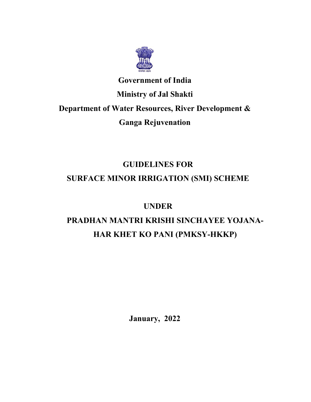

# **Government of India Ministry of Jal Shakti Department of Water Resources, River Development & Ganga Rejuvenation**

# **GUIDELINES FOR**

# **SURFACE MINOR IRRIGATION (SMI) SCHEME**

## **UNDER**

# **PRADHAN MANTRI KRISHI SINCHAYEE YOJANA-HAR KHET KO PANI (PMKSY-HKKP)**

**January, 2022**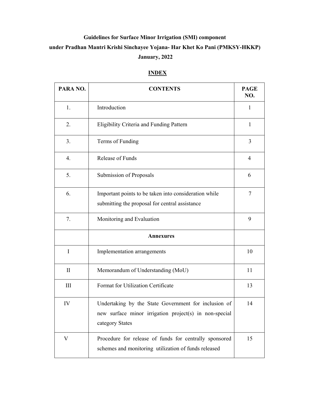## **Guidelines for Surface Minor Irrigation (SMI) component under Pradhan Mantri Krishi Sinchayee Yojana- Har Khet Ko Pani (PMKSY-HKKP) January, 2022**

### **INDEX**

| PARA NO.     | <b>CONTENTS</b>                                                                                                                   | <b>PAGE</b><br>NO. |
|--------------|-----------------------------------------------------------------------------------------------------------------------------------|--------------------|
| 1.           | Introduction                                                                                                                      | 1                  |
| 2.           | Eligibility Criteria and Funding Pattern                                                                                          | 1                  |
| 3.           | Terms of Funding                                                                                                                  | 3                  |
| 4.           | Release of Funds                                                                                                                  | $\overline{4}$     |
| 5.           | Submission of Proposals                                                                                                           | 6                  |
| 6.           | Important points to be taken into consideration while<br>submitting the proposal for central assistance                           | 7                  |
| 7.           | Monitoring and Evaluation                                                                                                         | 9                  |
|              | <b>Annexures</b>                                                                                                                  |                    |
| I            | Implementation arrangements                                                                                                       | 10                 |
| $\mathbf{I}$ | Memorandum of Understanding (MoU)                                                                                                 | 11                 |
| III          | Format for Utilization Certificate                                                                                                | 13                 |
| IV           | Undertaking by the State Government for inclusion of<br>new surface minor irrigation project(s) in non-special<br>category States | 14                 |
| V            | Procedure for release of funds for centrally sponsored<br>schemes and monitoring utilization of funds released                    | 15                 |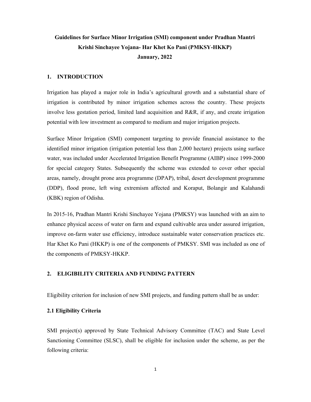### **Guidelines for Surface Minor Irrigation (SMI) component under Pradhan Mantri Krishi Sinchayee Yojana- Har Khet Ko Pani (PMKSY-HKKP) January, 2022**

#### **1. INTRODUCTION**

Irrigation has played a major role in India's agricultural growth and a substantial share of irrigation is contributed by minor irrigation schemes across the country. These projects involve less gestation period, limited land acquisition and R&R, if any, and create irrigation potential with low investment as compared to medium and major irrigation projects.

Surface Minor Irrigation (SMI) component targeting to provide financial assistance to the identified minor irrigation (irrigation potential less than 2,000 hectare) projects using surface water, was included under Accelerated Irrigation Benefit Programme (AIBP) since 1999-2000 for special category States. Subsequently the scheme was extended to cover other special areas, namely, drought prone area programme (DPAP), tribal, desert development programme (DDP), flood prone, left wing extremism affected and Koraput, Bolangir and Kalahandi (KBK) region of Odisha.

In 2015-16, Pradhan Mantri Krishi Sinchayee Yojana (PMKSY) was launched with an aim to enhance physical access of water on farm and expand cultivable area under assured irrigation, improve on-farm water use efficiency, introduce sustainable water conservation practices etc. Har Khet Ko Pani (HKKP) is one of the components of PMKSY. SMI was included as one of the components of PMKSY-HKKP.

#### **2. ELIGIBILITY CRITERIA AND FUNDING PATTERN**

Eligibility criterion for inclusion of new SMI projects, and funding pattern shall be as under:

#### **2.1 Eligibility Criteria**

SMI project(s) approved by State Technical Advisory Committee (TAC) and State Level Sanctioning Committee (SLSC), shall be eligible for inclusion under the scheme, as per the following criteria: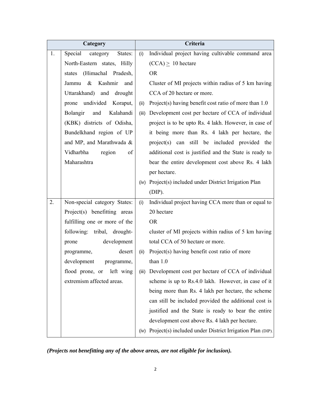| Category |                                 | Criteria |                                                           |  |
|----------|---------------------------------|----------|-----------------------------------------------------------|--|
| 1.       | Special<br>category<br>States:  | (i)      | Individual project having cultivable command area         |  |
|          | North-Eastern states, Hilly     |          | $(CCA) \geq 10$ hectare                                   |  |
|          | (Himachal Pradesh,<br>states    |          | <b>OR</b>                                                 |  |
|          | $\&$<br>Kashmir<br>Jammu<br>and |          | Cluster of MI projects within radius of 5 km having       |  |
|          | Uttarakhand) and drought        |          | CCA of 20 hectare or more.                                |  |
|          | prone undivided Koraput,        | (ii)     | Project(s) having benefit cost ratio of more than 1.0     |  |
|          | Bolangir<br>Kalahandi<br>and    | (iii)    | Development cost per hectare of CCA of individual         |  |
|          | (KBK) districts of Odisha,      |          | project is to be upto Rs. 4 lakh. However, in case of     |  |
|          | Bundelkhand region of UP        |          | it being more than Rs. 4 lakh per hectare, the            |  |
|          | and MP, and Marathwada &        |          | project(s) can still be included provided the             |  |
|          | Vidharbha<br>region<br>of       |          | additional cost is justified and the State is ready to    |  |
|          | Maharashtra                     |          | bear the entire development cost above Rs. 4 lakh         |  |
|          |                                 |          | per hectare.                                              |  |
|          |                                 |          | (iv) Project(s) included under District Irrigation Plan   |  |
|          |                                 |          | $(DIP)$ .                                                 |  |
| 2.       | Non-special category States:    | (i)      | Individual project having CCA more than or equal to       |  |
|          | Project(s) benefitting areas    |          | 20 hectare                                                |  |
|          | fulfilling one or more of the   |          | <b>OR</b>                                                 |  |
|          | following: tribal, drought-     |          | cluster of MI projects within radius of 5 km having       |  |
|          | development<br>prone            |          | total CCA of 50 hectare or more.                          |  |
|          | desert<br>programme,            | (ii)     | Project(s) having benefit cost ratio of more              |  |
|          | development<br>programme,       |          | than $1.0$                                                |  |
|          | flood prone, or<br>left wing    | (iii)    | Development cost per hectare of CCA of individual         |  |
|          | extremism affected areas.       |          | scheme is up to Rs.4.0 lakh. However, in case of it       |  |
|          |                                 |          | being more than Rs. 4 lakh per hectare, the scheme        |  |
|          |                                 |          | can still be included provided the additional cost is     |  |
|          |                                 |          | justified and the State is ready to bear the entire       |  |
|          |                                 |          | development cost above Rs. 4 lakh per hectare.            |  |
|          |                                 | (iv)     | Project(s) included under District Irrigation Plan (DIP). |  |

*(Projects not benefitting any of the above areas, are not eligible for inclusion).*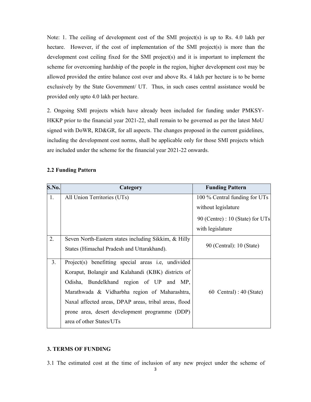Note: 1. The ceiling of development cost of the SMI project(s) is up to Rs. 4.0 lakh per hectare. However, if the cost of implementation of the SMI project(s) is more than the development cost ceiling fixed for the SMI project(s) and it is important to implement the scheme for overcoming hardship of the people in the region, higher development cost may be allowed provided the entire balance cost over and above Rs. 4 lakh per hectare is to be borne exclusively by the State Government/ UT. Thus, in such cases central assistance would be provided only upto 4.0 lakh per hectare.

2. Ongoing SMI projects which have already been included for funding under PMKSY-HKKP prior to the financial year 2021-22, shall remain to be governed as per the latest MoU signed with DoWR, RD&GR, for all aspects. The changes proposed in the current guidelines, including the development cost norms, shall be applicable only for those SMI projects which are included under the scheme for the financial year 2021-22 onwards.

| S.No. | Category                                              | <b>Funding Pattern</b>             |
|-------|-------------------------------------------------------|------------------------------------|
| 1.    | All Union Territories (UTs)                           | 100 % Central funding for UTs      |
|       |                                                       | without legislature                |
|       |                                                       | 90 (Centre) : $10$ (State) for UTs |
|       |                                                       | with legislature                   |
| 2.    | Seven North-Eastern states including Sikkim, & Hilly  |                                    |
|       | States (Himachal Pradesh and Uttarakhand).            | 90 (Central): 10 (State)           |
| 3.    | Project(s) benefitting special areas i.e, undivided   |                                    |
|       | Koraput, Bolangir and Kalahandi (KBK) districts of    |                                    |
|       | Odisha, Bundelkhand region of UP and MP,              |                                    |
|       | Marathwada & Vidharbha region of Maharashtra,         | 60 Central) : $40$ (State)         |
|       | Naxal affected areas, DPAP areas, tribal areas, flood |                                    |
|       | prone area, desert development programme (DDP)        |                                    |
|       | area of other States/UTs                              |                                    |

#### **2.2 Funding Pattern**

#### **3. TERMS OF FUNDING**

3.1 The estimated cost at the time of inclusion of any new project under the scheme of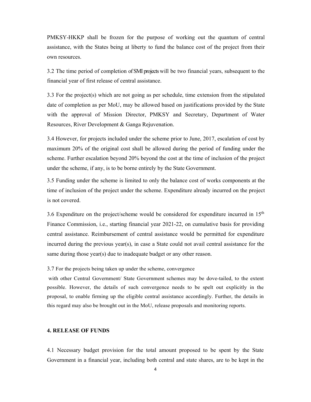PMKSY-HKKP shall be frozen for the purpose of working out the quantum of central assistance, with the States being at liberty to fund the balance cost of the project from their own resources.

3.2 The time period of completion of SMI projects will be two financial years, subsequent to the financial year of first release of central assistance.

3.3 For the project(s) which are not going as per schedule, time extension from the stipulated date of completion as per MoU, may be allowed based on justifications provided by the State with the approval of Mission Director, PMKSY and Secretary, Department of Water Resources, River Development & Ganga Rejuvenation.

3.4 However, for projects included under the scheme prior to June, 2017, escalation of cost by maximum 20% of the original cost shall be allowed during the period of funding under the scheme. Further escalation beyond 20% beyond the cost at the time of inclusion of the project under the scheme, if any, is to be borne entirely by the State Government.

3.5 Funding under the scheme is limited to only the balance cost of works components at the time of inclusion of the project under the scheme. Expenditure already incurred on the project is not covered.

3.6 Expenditure on the project/scheme would be considered for expenditure incurred in 15th Finance Commission, i.e., starting financial year 2021-22, on cumulative basis for providing central assistance. Reimbursement of central assistance would be permitted for expenditure incurred during the previous year(s), in case a State could not avail central assistance for the same during those year(s) due to inadequate budget or any other reason.

3.7 For the projects being taken up under the scheme, convergence

 with other Central Government/ State Government schemes may be dove-tailed, to the extent possible. However, the details of such convergence needs to be spelt out explicitly in the proposal, to enable firming up the eligible central assistance accordingly. Further, the details in this regard may also be brought out in the MoU, release proposals and monitoring reports.

#### **4. RELEASE OF FUNDS**

4.1 Necessary budget provision for the total amount proposed to be spent by the State Government in a financial year, including both central and state shares, are to be kept in the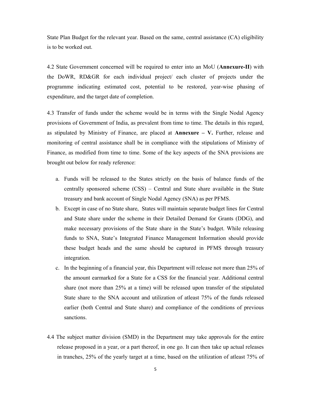State Plan Budget for the relevant year. Based on the same, central assistance (CA) eligibility is to be worked out.

4.2 State Government concerned will be required to enter into an MoU (**Annexure-II**) with the DoWR, RD&GR for each individual project/ each cluster of projects under the programme indicating estimated cost, potential to be restored, year-wise phasing of expenditure, and the target date of completion.

4.3 Transfer of funds under the scheme would be in terms with the Single Nodal Agency provisions of Government of India, as prevalent from time to time. The details in this regard, as stipulated by Ministry of Finance, are placed at **Annexure – V.** Further, release and monitoring of central assistance shall be in compliance with the stipulations of Ministry of Finance, as modified from time to time. Some of the key aspects of the SNA provisions are brought out below for ready reference:

- a. Funds will be released to the States strictly on the basis of balance funds of the centrally sponsored scheme (CSS) – Central and State share available in the State treasury and bank account of Single Nodal Agency (SNA) as per PFMS.
- b. Except in case of no State share, States will maintain separate budget lines for Central and State share under the scheme in their Detailed Demand for Grants (DDG), and make necessary provisions of the State share in the State's budget. While releasing funds to SNA, State's Integrated Finance Management Information should provide these budget heads and the same should be captured in PFMS through treasury integration.
- c. In the beginning of a financial year, this Department will release not more than 25% of the amount earmarked for a State for a CSS for the financial year. Additional central share (not more than 25% at a time) will be released upon transfer of the stipulated State share to the SNA account and utilization of atleast 75% of the funds released earlier (both Central and State share) and compliance of the conditions of previous sanctions.
- 4.4 The subject matter division (SMD) in the Department may take approvals for the entire release proposed in a year, or a part thereof, in one go. It can then take up actual releases in tranches, 25% of the yearly target at a time, based on the utilization of atleast 75% of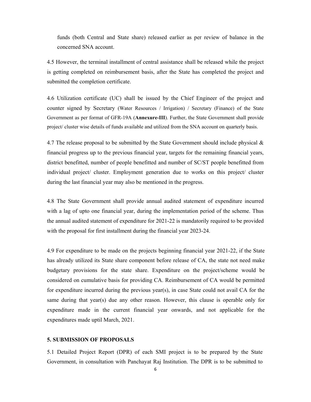funds (both Central and State share) released earlier as per review of balance in the concerned SNA account.

4.5 However, the terminal installment of central assistance shall be released while the project is getting completed on reimbursement basis, after the State has completed the project and submitted the completion certificate.

4.6 Utilization certificate (UC) shall be issued by the Chief Engineer of the project and counter signed by Secretary (Water Resources / Irrigation) / Secretary (Finance) of the State Government as per format of GFR-19A (**Annexure-III**). Further, the State Government shall provide project/ cluster wise details of funds available and utilized from the SNA account on quarterly basis.

4.7 The release proposal to be submitted by the State Government should include physical & financial progress up to the previous financial year, targets for the remaining financial years, district benefitted, number of people benefitted and number of SC/ST people benefitted from individual project/ cluster. Employment generation due to works on this project/ cluster during the last financial year may also be mentioned in the progress.

4.8 The State Government shall provide annual audited statement of expenditure incurred with a lag of upto one financial year, during the implementation period of the scheme. Thus the annual audited statement of expenditure for 2021-22 is mandatorily required to be provided with the proposal for first installment during the financial year 2023-24.

4.9 For expenditure to be made on the projects beginning financial year 2021-22, if the State has already utilized its State share component before release of CA, the state not need make budgetary provisions for the state share. Expenditure on the project/scheme would be considered on cumulative basis for providing CA. Reimbursement of CA would be permitted for expenditure incurred during the previous year(s), in case State could not avail CA for the same during that year(s) due any other reason. However, this clause is operable only for expenditure made in the current financial year onwards, and not applicable for the expenditures made uptil March, 2021.

#### **5. SUBMISSION OF PROPOSALS**

5.1 Detailed Project Report (DPR) of each SMI project is to be prepared by the State Government, in consultation with Panchayat Raj Institution. The DPR is to be submitted to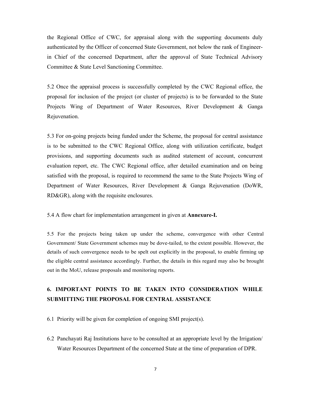the Regional Office of CWC, for appraisal along with the supporting documents duly authenticated by the Officer of concerned State Government, not below the rank of Engineerin Chief of the concerned Department, after the approval of State Technical Advisory Committee & State Level Sanctioning Committee.

5.2 Once the appraisal process is successfully completed by the CWC Regional office, the proposal for inclusion of the project (or cluster of projects) is to be forwarded to the State Projects Wing of Department of Water Resources, River Development & Ganga Rejuvenation.

5.3 For on-going projects being funded under the Scheme, the proposal for central assistance is to be submitted to the CWC Regional Office, along with utilization certificate, budget provisions, and supporting documents such as audited statement of account, concurrent evaluation report, etc. The CWC Regional office, after detailed examination and on being satisfied with the proposal, is required to recommend the same to the State Projects Wing of Department of Water Resources, River Development & Ganga Rejuvenation (DoWR, RD&GR), along with the requisite enclosures.

5.4 A flow chart for implementation arrangement in given at **Annexure-I.**

5.5 For the projects being taken up under the scheme, convergence with other Central Government/ State Government schemes may be dove-tailed, to the extent possible. However, the details of such convergence needs to be spelt out explicitly in the proposal, to enable firming up the eligible central assistance accordingly. Further, the details in this regard may also be brought out in the MoU, release proposals and monitoring reports.

### **6. IMPORTANT POINTS TO BE TAKEN INTO CONSIDERATION WHILE SUBMITTING THE PROPOSAL FOR CENTRAL ASSISTANCE**

6.1 Priority will be given for completion of ongoing SMI project(s).

6.2 Panchayati Raj Institutions have to be consulted at an appropriate level by the Irrigation/ Water Resources Department of the concerned State at the time of preparation of DPR.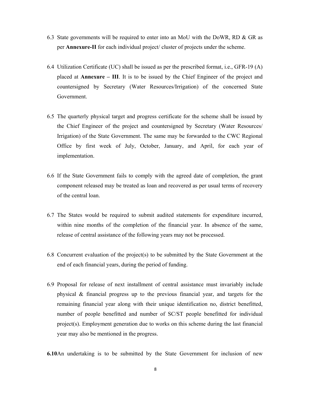- 6.3 State governments will be required to enter into an MoU with the DoWR, RD & GR as per **Annexure-II** for each individual project/ cluster of projects under the scheme.
- 6.4 Utilization Certificate (UC) shall be issued as per the prescribed format, i.e., GFR-19 (A) placed at **Annexure – III**. It is to be issued by the Chief Engineer of the project and countersigned by Secretary (Water Resources/Irrigation) of the concerned State Government.
- 6.5 The quarterly physical target and progress certificate for the scheme shall be issued by the Chief Engineer of the project and countersigned by Secretary (Water Resources/ Irrigation) of the State Government. The same may be forwarded to the CWC Regional Office by first week of July, October, January, and April, for each year of implementation.
- 6.6 If the State Government fails to comply with the agreed date of completion, the grant component released may be treated as loan and recovered as per usual terms of recovery of the central loan.
- 6.7 The States would be required to submit audited statements for expenditure incurred, within nine months of the completion of the financial year. In absence of the same, release of central assistance of the following years may not be processed.
- 6.8 Concurrent evaluation of the project(s) to be submitted by the State Government at the end of each financial years, during the period of funding.
- 6.9 Proposal for release of next installment of central assistance must invariably include physical & financial progress up to the previous financial year, and targets for the remaining financial year along with their unique identification no, district benefitted, number of people benefitted and number of SC/ST people benefitted for individual project(s). Employment generation due to works on this scheme during the last financial year may also be mentioned in the progress.
- **6.10**An undertaking is to be submitted by the State Government for inclusion of new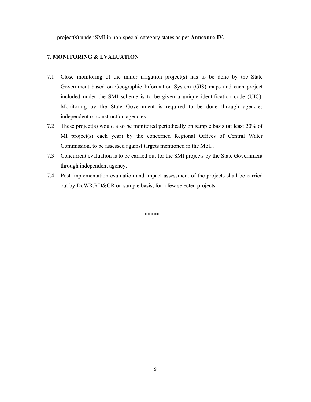project(s) under SMI in non-special category states as per **Annexure-IV.** 

#### **7. MONITORING & EVALUATION**

- 7.1 Close monitoring of the minor irrigation project(s) has to be done by the State Government based on Geographic Information System (GIS) maps and each project included under the SMI scheme is to be given a unique identification code (UIC). Monitoring by the State Government is required to be done through agencies independent of construction agencies.
- 7.2 These project(s) would also be monitored periodically on sample basis (at least 20% of MI project(s) each year) by the concerned Regional Offices of Central Water Commission, to be assessed against targets mentioned in the MoU.
- 7.3 Concurrent evaluation is to be carried out for the SMI projects by the State Government through independent agency.
- 7.4 Post implementation evaluation and impact assessment of the projects shall be carried out by DoWR,RD&GR on sample basis, for a few selected projects.

\*\*\*\*\*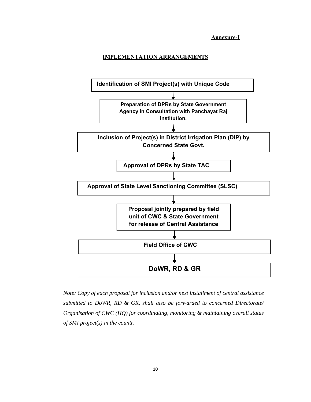**Annexure-I** 

#### **IMPLEMENTATION ARRANGEMENTS**



*Note: Copy of each proposal for inclusion and/or next installment of central assistance submitted to DoWR, RD & GR, shall also be forwarded to concerned Directorate/ Organisation of CWC (HQ) for coordinating, monitoring & maintaining overall status of SMI project(s) in the countr.*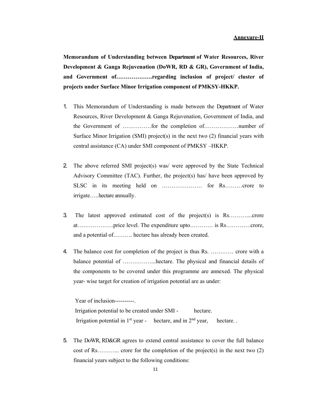**Memorandum of Understanding between Department of Water Resources, River Development & Ganga Rejuvenation (DoWR, RD & GR), Government of India, and Government of……………….regarding inclusion of project/ cluster of projects under Surface Minor Irrigation component of PMKSY-HKKP.** 

- 1. This Memorandum of Understanding is made between the Department of Water Resources, River Development & Ganga Rejuvenation, Government of India, and the Government of ……………for the completion of………………number of Surface Minor Irrigation (SMI) project(s) in the next two  $(2)$  financial years with central assistance (CA) under SMI component of PMKSY –HKKP.
- 2. The above referred SMI project(s) was/ were approved by the State Technical Advisory Committee (TAC). Further, the project(s) has/ have been approved by SLSC in its meeting held on ………………… for Rs………crore to irrigate…..hectare annually.
- 3. The latest approved estimated cost of the project(s) is Rs………....crore at……………….price level. The expenditure upto………… is Rs………….crore, and a potential of………. hectare has already been created.
- 4. The balance cost for completion of the project is thus Rs. ………… crore with a balance potential of ……………...hectare. The physical and financial details of the components to be covered under this programme are annexed. The physical year- wise target for creation of irrigation potential are as under:

Year of inclusion----------Irrigation potential to be created under SMI - hectare. Irrigation potential in  $1<sup>st</sup>$  year - hectare, and in  $2<sup>nd</sup>$  year, hectare.

5. The DoWR, RD&GR agrees to extend central assistance to cover the full balance cost of Rs………... crore for the completion of the project(s) in the next two (2) financial years subject to the following conditions: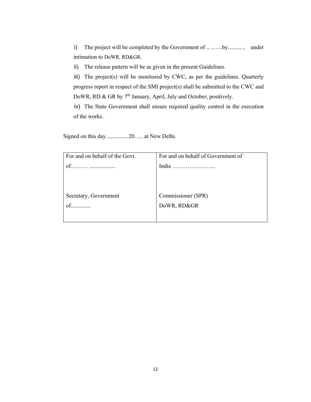i) The project will be completed by the Government of .. .......by.........., under intimation to DoWR, RD&GR.

ii) The release pattern will be as given in the present Guidelines.

iii) The project(s) will be monitored by CWC, as per the guidelines. Quarterly progress report in respect of the SMI project(s) shall be submitted to the CWC and DoWR, RD & GR by 7<sup>th</sup> January, April, July and October, positively.

iv) The State Government shall ensure required quality control in the execution of the works.

Signed on this day ............... 20….. at New Delhi.

| For and on behalf of the Govt. | For and on behalf of Government of |
|--------------------------------|------------------------------------|
| of.                            |                                    |
|                                |                                    |
|                                |                                    |
|                                |                                    |
| Secretary, Government          | Commissioner (SPR)                 |
| $of$                           | DoWR, RD&GR                        |
|                                |                                    |
|                                |                                    |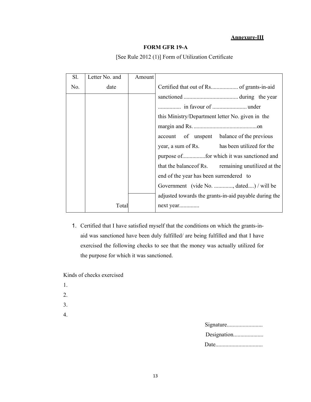#### **Annexure-III**

#### **FORM GFR 19-A**

| Sl. | Letter No. and | Amount |                                                       |
|-----|----------------|--------|-------------------------------------------------------|
| No. | date           |        | Certified that out of Rs of grants-in-aid             |
|     |                |        |                                                       |
|     |                |        |                                                       |
|     |                |        | this Ministry/Department letter No. given in the      |
|     |                |        |                                                       |
|     |                |        | account of unspent balance of the previous            |
|     |                |        | year, a sum of Rs. has been utilized for the          |
|     |                |        |                                                       |
|     |                |        | that the balance of Rs. remaining unutilized at the   |
|     |                |        | end of the year has been surrendered to               |
|     |                |        | Government (vide No. , dated) / will be               |
|     |                |        | adjusted towards the grants-in-aid payable during the |
|     | Total          |        | next year                                             |

#### [See Rule 2012 (1)] Form of Utilization Certificate

1. Certified that I have satisfied myself that the conditions on which the grants-inaid was sanctioned have been duly fulfilled/ are being fulfilled and that I have exercised the following checks to see that the money was actually utilized for the purpose for which it was sanctioned.

Kinds of checks exercised

- 1.
- 2.
- 3.
- 4.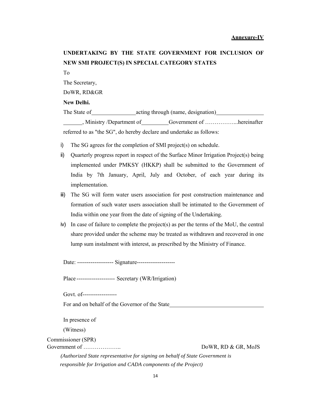### **UNDERTAKING BY THE STATE GOVERNMENT FOR INCLUSION OF NEW SMI PROJECT(S) IN SPECIAL CATEGORY STATES**

To

The Secretary,

DoWR, RD&GR

#### **New Delhi.**

The State of acting through (name, designation) Ministry /Department of Government of .................hereinafter

referred to as "the SG", do hereby declare and undertake as follows:

- i) The SG agrees for the completion of SMI project(s) on schedule.
- ii) Quarterly progress report in respect of the Surface Minor Irrigation Project(s) being implemented under PMKSY (HKKP) shall be submitted to the Government of India by 7th January, April, July and October, of each year during its implementation.
- iii) The SG will form water users association for post construction maintenance and formation of such water users association shall be intimated to the Government of India within one year from the date of signing of the Undertaking.
- iv) In case of failure to complete the project(s) as per the terms of the MoU, the central share provided under the scheme may be treated as withdrawn and recovered in one lump sum instalment with interest, as prescribed by the Ministry of Finance.

Date: ------------------- Signature--------------------

Place -------------------- Secretary (WR/Irrigation)

Govt. of------------------

For and on behalf of the Governor of the State

In presence of

(Witness)

Commissioner (SPR)

Government of ……………….. DoWR, RD & GR, MoJS

*(Authorized State representative for signing on behalf of State Government is responsible for Irrigation and CADA components of the Project)*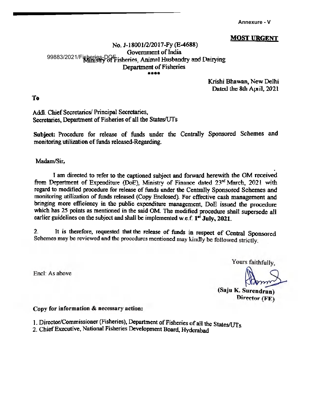**Annexure - V** 

#### **MOST URGENT**

#### No. J-18001/2/2017-Fy (E-4688) Government of India 99883/2021/Fisheries-DOF risheries, Animal Husbandry and Dairying Department of Fisheries 東東東東

Krishi Bhawan, New Delhi Dated the 8th April, 2021

**To** 

Addl. Chief Secretaries/ Principal Secretaries, Secretaries. Department of Fisheries of all the States/UTs

Subject: Procedure for release of funds under the Centrally Sponsored Schemes and monitoring utilization of funds released-Regarding.

Madam/Sir,

I am directed to refer to the captioned subject and forward herewith the OM received from Department of Expenditure (DoE), Ministry of Finance dated 23rd March, 2021 with regard to modified procedure for release of funds under the Centrally Sponsored Schemes and monitoring utilization of funds released (Copy Enclosed). For effective cash management and bringing more efficiency in the public expenditure management, DoE issued the procedure which has 25 points as mentioned in the said OM. The modified procedure shall supersede all earlier guidelines on the subject and shall be implemented w.e.f.  $1<sup>st</sup>$  July, 2021.

It is therefore, requested that the release of funds in respect of Central Sponsored  $2.$ Schemes may be reviewed and the procedures mentioned may kindly be followed strictly.

Encl: As above

Yours faithfully,

(Saju K. Surendran) Director (FE)

#### Copy for information & necessary action:

- 1. Director/Commissioner (Fisheries), Department of Fisheries of all the States/UTs
- 2. Chief Executive, National Fisheries Development Board, Hyderabad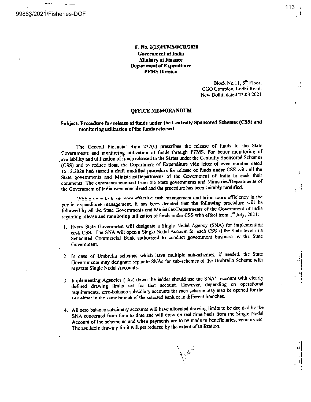#### F. No. 1(13)PFMS/FCD/2020 **Government of India Ministry of Finance Department of Expenditure PFMS Division**

Block No.11, 5<sup>th</sup> Floor, CGO Complex, Lodhi Road. New Delhi, dated 23.03.2021

#### **OFFICE MEMORANDUM**

#### Subject: Procedure for release of funds under the Centrally Sponsored Schemes (CSS) and monitoring utilization of the funds released

The General Financial Rule 232(v) prescribes the release of funds to the State Governments and monitoring utilization of funds through PFMS. For better monitoring of availability and utilization of funds released to the States under the Centrally Sponsored Schemes (CSS) and to reduce float, the Department of Expenditure vide letter of even number dated 16.12.2020 had shared a draft modified procedure for release of funds under CSS with all the State governments and Ministries/Departments of the Government of India to seek their comments. The comments received from the State governments and Ministries/Departments of the Government of India were considered and the procedure has been suitably modified.

With a view to have more effective cash management and bring more efficiency in the public expenditure management, it has been decided that the following procedure will be followed by all the State Governments and Ministries/Departments of the Government of India regarding release and monitoring utilization of funds under CSS with effect from 1st July, 2021:

- 1. Every State Government will designate a Single Nodal Agency (SNA) for implementing each CSS. The SNA will open a Single Nodal Account for each CSS at the State level in a Scheduled Commercial Bank authorized to conduct government business by the State Government.
- 2. In case of Umbrella schemes which have multiple sub-schemes, if needed, the State Governments may designate separate SNAs for sub-schemes of the Umbrella Scheme with separate Single Nodal Accounts.
- 3. Implementing Agencies (IAs) down the ladder should use the SNA's account with clearly defined drawing limits set for that account. However, depending on operational requirements, zero-balance subsidiary accounts for each scheme may also be opened for the IAs either in the same hranch of the selected bank or in different branches.
- 4. All zero balance subsidiary accounts will have allocated drawing limits to be decided by the SNA concerned from time to time and will draw on real time basis from the Single Nodal Account of the scheme as and when payments are to be made to beneficiaries, vendors etc. The available drawing limit will get reduced by the extent of utilization.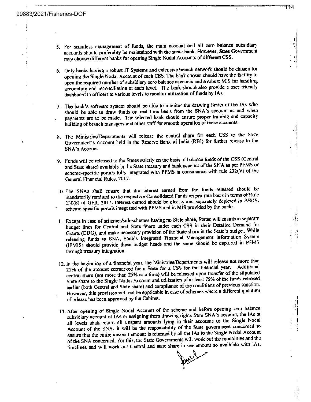- 5. For seamless management of funds, the main account and all zero balance subsidiary accounts should preferably be maintained with the same bank. However, State Government may choose different banks for opening Single Nodal Accounts of different CSS.
- 6. Only banks having a robust IT Systems and extensive branch network sbould be chosen for opening the Single Nodal Account of each CSS. The bank chosen should have the facility to open the required number of subsidiary zero balance accounts and a robust MIS for handling accounting and reconciliation at each level. The bank should also provide a user friendly dashboard to officers at various levels to monitor utilization of funds by IAs.
- 7. The bank's software system should be able to monitor the drawing limits of the IAs who should be able to draw funds on real time basis from the SNA's account as and when payments are to be made. The selected bank should ensure proper training and capacity building of branch managers and other staff for smooth operation of these accounts.
- 8. The Ministries/Departments will release the central share for each CSS to the State Government's Account held in the Reserve Bank of India (RBI) for further release to the SNA's Account.
- 9. Funds will be released to the States strictly on the basis of balance funds of the CSS (Central and State share) available in the State treasury and bank account of the SNA as per PFMS or scheme-specific portals fully integrated with PFMS in consonance with rule 232(V) of the General Financial Rules, 2017.
- 10. The SNAs shall ensure that the interest earned from the funds released should be mandatorily remitted to the respective Consolidated Funds on pro-rata basis in terms of Rule 230(8) of GFR, 2017. Interest earned should be clearly and separately depicted in PFMS. scheme-specific portals integrated with PFMS and in MIS provided by the banks.
- 11. Except in case of schemes/sub-schemes having no State share, States will maintain separate budget lines for Central and State Share under each CSS in their Detailed Demand for Grants (DDG), and make necessary provision of the State share in the State's budget. While releasing funds to SNA, State's Integrated Financial Management Information System (IFMIS) should provide these budget heads and the same should be captured in PFMS through treasury integration.
- 12. In the beginning of a financial year, the Ministries/Departments will release not more than 25% of the amount earmarked for a State for a CSS for the financial year. Additional central share (not more than 25% at a time) will be released upon transfer of the stipulated State share to the Single Nodal Account and utilization of at least 75% of the funds released earlier (both Central and State share) and compliance of the conditions of previous sanction. However, this provision will not be applicable in case of schemes where a different quantum of release has been approved by the Cabinet.
- 13. After opening of Single Nodal Account of the scheme and before opening zero balance subsidiary account of IAs or assigning them drawing rights from SNA's account, the IAs at all levels shall return all unspent amounts lying in their accounts to the Single Nodal Account of the SNA. It will be the responsibility of the State government concerned to ensure that the entire unspent amount is returned by all the IAs to the Single Nodal Account of the SNA concerned. For this, the State Governments will work out the modalities and the timelines and will work out Central and state share in the amount so available with lAs.